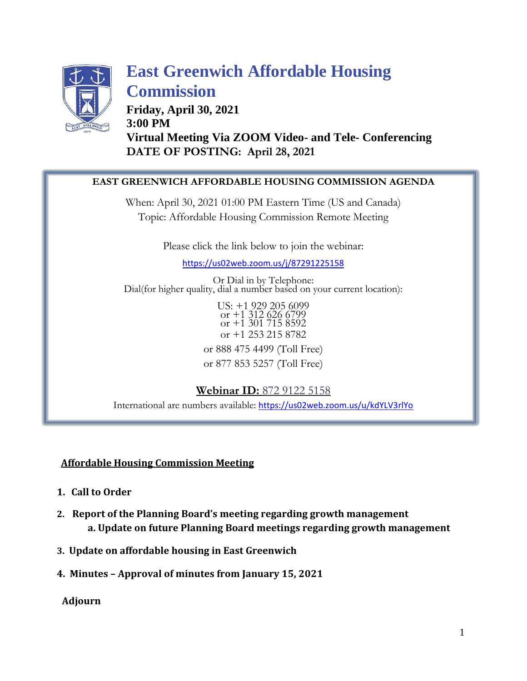

# **East Greenwich Affordable Housing Commission**

**Friday, April 30, 2021 3:00 PM Virtual Meeting Via ZOOM Video- and Tele- Conferencing DATE OF POSTING: April 28, 2021**

### **EAST GREENWICH AFFORDABLE HOUSING COMMISSION AGENDA**

When: April 30, 2021 01:00 PM Eastern Time (US and Canada) Topic: Affordable Housing Commission Remote Meeting

Please click the link below to join the webinar:

<https://us02web.zoom.us/j/87291225158>

Or Dial in by Telephone: Dial(for higher quality, dial a number based on your current location):

> US: +1 929 205 6099 or +1 312 626 6799 or +1 301 715 8592 or +1 253 215 8782 or 888 475 4499 (Toll Free)

> or 877 853 5257 (Toll Free)

**Webinar ID:** 872 9122 5158 International are numbers available: <https://us02web.zoom.us/u/kdYLV3rlYo>

### **Affordable Housing Commission Meeting**

- **1. Call to Order**
- **2. Report of the Planning Board's meeting regarding growth management a. Update on future Planning Board meetings regarding growth management**
- **3. Update on affordable housing in East Greenwich**
- **4. Minutes – Approval of minutes from January 15, 2021**

**Adjourn**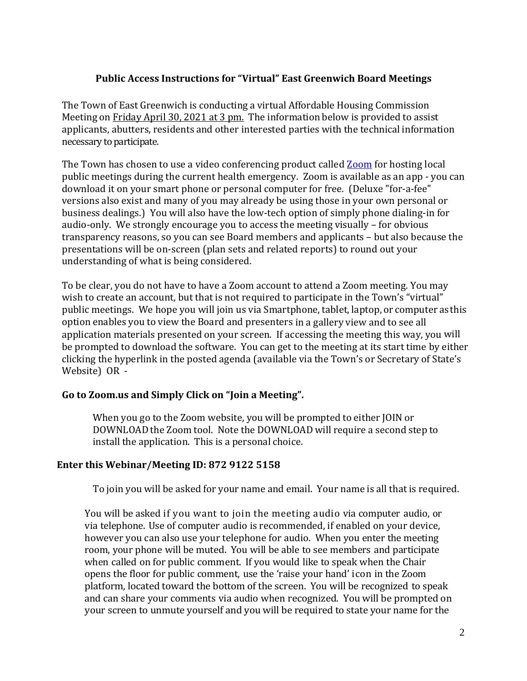#### **Public Access Instructions for "Virtual" East Greenwich Board Meetings**

The Town of East Greenwich is conducting a virtual Affordable Housing Commission Meeting on Friday April 30, 2021 at 3 pm. The information below is provided to assist applicants, abutters, residents and other interested parties with the technical information necessary to participate.

The Town has chosen to use a video conferencing product called **[Zoom](https://zoom.us/)** for hosting local public meetings during the current health emergency. Zoom is available as an app - you can download it on your smart phone or personal computer for free. (Deluxe "for-a-fee" versions also exist and many of you may already be using those in your own personal or business dealings.) You will also have the low-tech option of simply phone dialing-in for audio-only. We strongly encourage you to access the meeting visually – for obvious transparency reasons, so you can see Board members and applicants – but also because the presentations will be on-screen (plan sets and related reports) to round out your understanding of what is being considered.

To be clear, you do not have to have a Zoom account to attend a Zoom meeting. You may wish to create an account, but that is not required to participate in the Town's "virtual" public meetings. We hope you will join us via Smartphone, tablet, laptop, or computer as this option enables you to view the Board and presenters in a gallery view and to see all application materials presented on your screen. If accessing the meeting this way, you will be prompted to download the software. You can get to the meeting at its start time by either clicking the hyperlink in the posted agenda (available via the Town's or Secretary of State's Website) OR -

### **Go to Zoom.us and Simply Click on "Join a Meeting".**

When you go to the Zoom website, you will be prompted to either JOIN or DOWNLOAD the Zoom tool. Note the DOWNLOAD will require a second step to install the application. This is a personal choice.

#### **Enter this Webinar/Meeting ID: 872 9122 5158**

To join you will be asked for your name and email. Your name is all that is required.

You will be asked if you want to join the meeting audio via computer audio, or via telephone. Use of computer audio is recommended, if enabled on your device, however you can also use your telephone for audio. When you enter the meeting room, your phone will be muted. You will be able to see members and participate when called on for public comment. If you would like to speak when the Chair opens the floor for public comment, use the 'raise your hand' icon in the Zoom platform, located toward the bottom of the screen. You will be recognized to speak and can share your comments via audio when recognized. You will be prompted on your screen to unmute yourself and you will be required to state your name for the